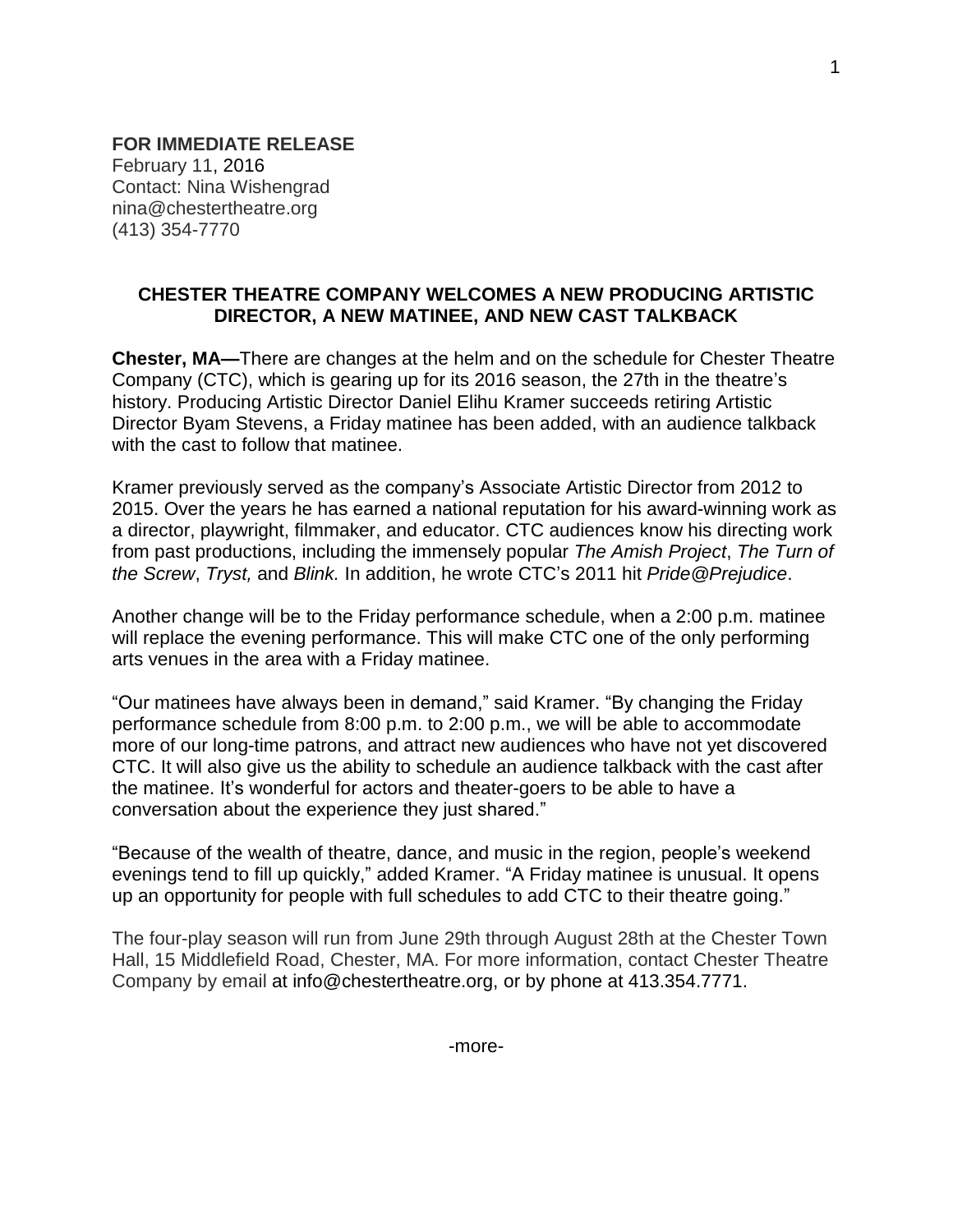**FOR IMMEDIATE RELEASE** February 11, 2016 Contact: Nina Wishengrad nina@chestertheatre.org (413) 354-7770

## **CHESTER THEATRE COMPANY WELCOMES A NEW PRODUCING ARTISTIC DIRECTOR, A NEW MATINEE, AND NEW CAST TALKBACK**

**Chester, MA—**There are changes at the helm and on the schedule for Chester Theatre Company (CTC), which is gearing up for its 2016 season, the 27th in the theatre's history. Producing Artistic Director Daniel Elihu Kramer succeeds retiring Artistic Director Byam Stevens, a Friday matinee has been added, with an audience talkback with the cast to follow that matinee.

Kramer previously served as the company's Associate Artistic Director from 2012 to 2015. Over the years he has earned a national reputation for his award-winning work as a director, playwright, filmmaker, and educator. CTC audiences know his directing work from past productions, including the immensely popular *The Amish Project*, *The Turn of the Screw*, *Tryst,* and *Blink.* In addition, he wrote CTC's 2011 hit *Pride@Prejudice*.

Another change will be to the Friday performance schedule, when a 2:00 p.m. matinee will replace the evening performance. This will make CTC one of the only performing arts venues in the area with a Friday matinee.

"Our matinees have always been in demand," said Kramer. "By changing the Friday performance schedule from 8:00 p.m. to 2:00 p.m., we will be able to accommodate more of our long-time patrons, and attract new audiences who have not yet discovered CTC. It will also give us the ability to schedule an audience talkback with the cast after the matinee. It's wonderful for actors and theater-goers to be able to have a conversation about the experience they just shared."

"Because of the wealth of theatre, dance, and music in the region, people's weekend evenings tend to fill up quickly," added Kramer. "A Friday matinee is unusual. It opens up an opportunity for people with full schedules to add CTC to their theatre going."

The four-play season will run from June 29th through August 28th at the Chester Town Hall, 15 Middlefield Road, Chester, MA. For more information, contact Chester Theatre Company by email at info@chestertheatre.org, or by phone at 413.354.7771.

1

-more-